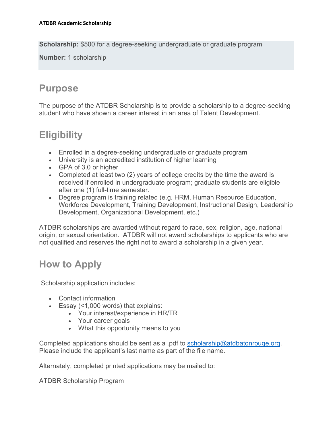**Scholarship:** \$500 for a degree-seeking undergraduate or graduate program

**Number:** 1 scholarship

#### **Purpose**

The purpose of the ATDBR Scholarship is to provide a scholarship to a degree-seeking student who have shown a career interest in an area of Talent Development.

# **Eligibility**

- Enrolled in a degree-seeking undergraduate or graduate program
- University is an accredited institution of higher learning
- GPA of 3.0 or higher
- Completed at least two (2) years of college credits by the time the award is received if enrolled in undergraduate program; graduate students are eligible after one (1) full-time semester.
- Degree program is training related (e.g. HRM, Human Resource Education, Workforce Development, Training Development, Instructional Design, Leadership Development, Organizational Development, etc.)

ATDBR scholarships are awarded without regard to race, sex, religion, age, national origin, or sexual orientation. ATDBR will not award scholarships to applicants who are not qualified and reserves the right not to award a scholarship in a given year.

# **How to Apply**

Scholarship application includes:

- Contact information
- Essay (<1,000 words) that explains:
	- Your interest/experience in HR/TR
	- Your career goals
	- What this opportunity means to you

Completed applications should be sent as a .pdf to [scholarship@atdbatonrouge.org.](mailto:scholarship@atdbatonrouge.org) Please include the applicant's last name as part of the file name.

Alternately, completed printed applications may be mailed to:

ATDBR Scholarship Program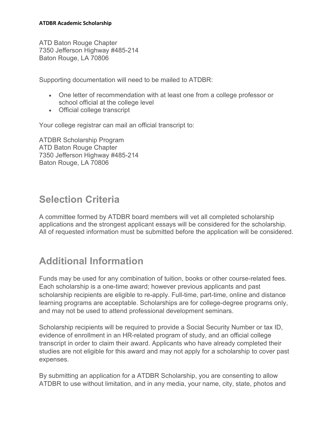ATD Baton Rouge Chapter 7350 Jefferson Highway #485-214 Baton Rouge, LA 70806

Supporting documentation will need to be mailed to ATDBR:

- One letter of recommendation with at least one from a college professor or school official at the college level
- Official college transcript

Your college registrar can mail an official transcript to:

ATDBR Scholarship Program ATD Baton Rouge Chapter 7350 Jefferson Highway #485-214 Baton Rouge, LA 70806

### **Selection Criteria**

A committee formed by ATDBR board members will vet all completed scholarship applications and the strongest applicant essays will be considered for the scholarship. All of requested information must be submitted before the application will be considered.

# **Additional Information**

Funds may be used for any combination of tuition, books or other course-related fees. Each scholarship is a one-time award; however previous applicants and past scholarship recipients are eligible to re-apply. Full-time, part-time, online and distance learning programs are acceptable. Scholarships are for college-degree programs only, and may not be used to attend professional development seminars.

Scholarship recipients will be required to provide a Social Security Number or tax ID, evidence of enrollment in an HR-related program of study, and an official college transcript in order to claim their award. Applicants who have already completed their studies are not eligible for this award and may not apply for a scholarship to cover past expenses.

By submitting an application for a ATDBR Scholarship, you are consenting to allow ATDBR to use without limitation, and in any media, your name, city, state, photos and